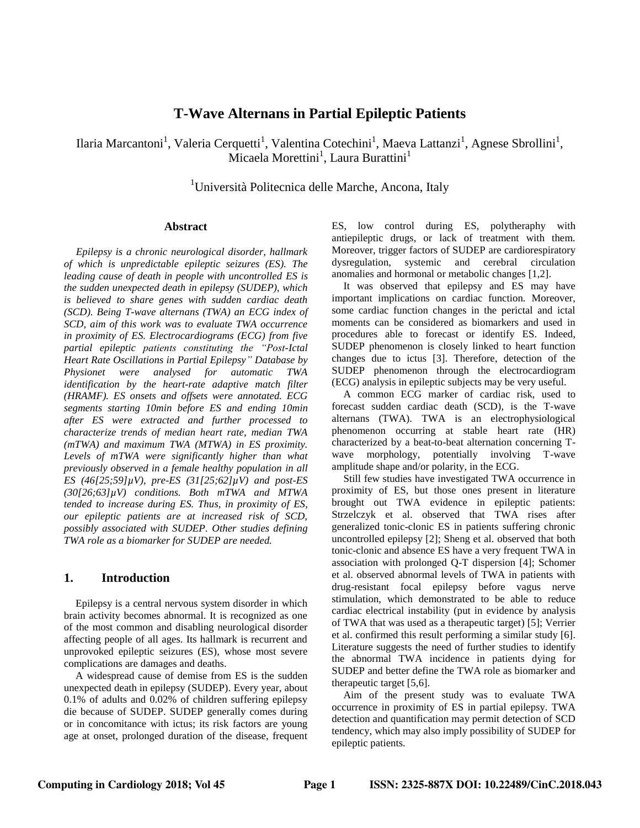# **T-Wave Alternans in Partial Epileptic Patients**

Ilaria Marcantoni<sup>1</sup>, Valeria Cerquetti<sup>1</sup>, Valentina Cotechini<sup>1</sup>, Maeva Lattanzi<sup>1</sup>, Agnese Sbrollini<sup>1</sup>, Micaela Morettini<sup>1</sup>, Laura Burattini<sup>1</sup>

<sup>1</sup>Università Politecnica delle Marche, Ancona, Italy

#### **Abstract**

*Epilepsy is a chronic neurological disorder, hallmark of which is unpredictable epileptic seizures (ES). The leading cause of death in people with uncontrolled ES is the sudden unexpected death in epilepsy (SUDEP), which is believed to share genes with sudden cardiac death (SCD). Being T-wave alternans (TWA) an ECG index of SCD, aim of this work was to evaluate TWA occurrence in proximity of ES. Electrocardiograms (ECG) from five partial epileptic patients constituting the "Post-Ictal Heart Rate Oscillations in Partial Epilepsy" Database by Physionet were analysed for automatic TWA identification by the heart-rate adaptive match filter (HRAMF). ES onsets and offsets were annotated. ECG segments starting 10min before ES and ending 10min after ES were extracted and further processed to characterize trends of median heart rate, median TWA (mTWA) and maximum TWA (MTWA) in ES proximity. Levels of mTWA were significantly higher than what previously observed in a female healthy population in all ES (46[25;59]µV), pre-ES (31[25;62]µV) and post-ES (30[26;63]µV) conditions. Both mTWA and MTWA tended to increase during ES. Thus, in proximity of ES, our epileptic patients are at increased risk of SCD, possibly associated with SUDEP. Other studies defining TWA role as a biomarker for SUDEP are needed.*

## **1. Introduction**

Epilepsy is a central nervous system disorder in which brain activity becomes abnormal. It is recognized as one of the most common and disabling neurological disorder affecting people of all ages. Its hallmark is recurrent and unprovoked epileptic seizures (ES), whose most severe complications are damages and deaths.

A widespread cause of demise from ES is the sudden unexpected death in epilepsy (SUDEP). Every year, about 0.1% of adults and 0.02% of children suffering epilepsy die because of SUDEP. SUDEP generally comes during or in concomitance with ictus; its risk factors are young age at onset, prolonged duration of the disease, frequent

ES, low control during ES, polytheraphy with antiepileptic drugs, or lack of treatment with them. Moreover, trigger factors of SUDEP are cardiorespiratory dysregulation, systemic and cerebral circulation anomalies and hormonal or metabolic changes [1,2].

It was observed that epilepsy and ES may have important implications on cardiac function. Moreover, some cardiac function changes in the perictal and ictal moments can be considered as biomarkers and used in procedures able to forecast or identify ES. Indeed, SUDEP phenomenon is closely linked to heart function changes due to ictus [3]. Therefore, detection of the SUDEP phenomenon through the electrocardiogram (ECG) analysis in epileptic subjects may be very useful.

A common ECG marker of cardiac risk, used to forecast sudden cardiac death (SCD), is the T-wave alternans (TWA). TWA is an electrophysiological phenomenon occurring at stable heart rate (HR) characterized by a beat-to-beat alternation concerning Twave morphology, potentially involving T-wave amplitude shape and/or polarity, in the ECG.

Still few studies have investigated TWA occurrence in proximity of ES, but those ones present in literature brought out TWA evidence in epileptic patients: Strzelczyk et al. observed that TWA rises after generalized tonic-clonic ES in patients suffering chronic uncontrolled epilepsy [2]; Sheng et al. observed that both tonic-clonic and absence ES have a very frequent TWA in association with prolonged Q-T dispersion [4]; Schomer et al. observed abnormal levels of TWA in patients with drug-resistant focal epilepsy before vagus nerve stimulation, which demonstrated to be able to reduce cardiac electrical instability (put in evidence by analysis of TWA that was used as a therapeutic target) [5]; Verrier et al. confirmed this result performing a similar study [6]. Literature suggests the need of further studies to identify the abnormal TWA incidence in patients dying for SUDEP and better define the TWA role as biomarker and therapeutic target [5,6].

Aim of the present study was to evaluate TWA occurrence in proximity of ES in partial epilepsy. TWA detection and quantification may permit detection of SCD tendency, which may also imply possibility of SUDEP for epileptic patients.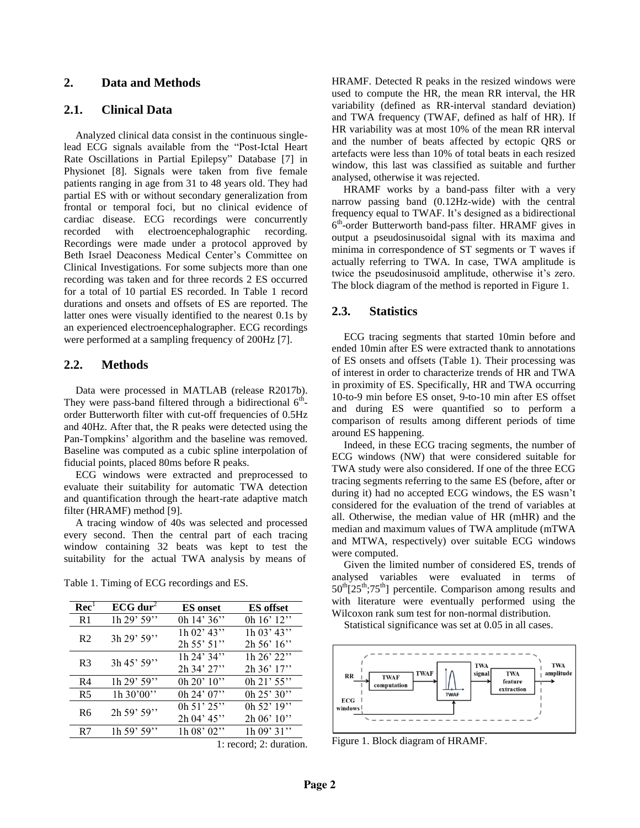## **2. Data and Methods**

## **2.1. Clinical Data**

Analyzed clinical data consist in the continuous singlelead ECG signals available from the "Post-Ictal Heart Rate Oscillations in Partial Epilepsy" Database [7] in Physionet [8]. Signals were taken from five female patients ranging in age from 31 to 48 years old. They had partial ES with or without secondary generalization from frontal or temporal foci, but no clinical evidence of cardiac disease. ECG recordings were concurrently recorded with electroencephalographic recording. Recordings were made under a protocol approved by Beth Israel Deaconess Medical Center's Committee on Clinical Investigations. For some subjects more than one recording was taken and for three records 2 ES occurred for a total of 10 partial ES recorded. In Table 1 record durations and onsets and offsets of ES are reported. The latter ones were visually identified to the nearest 0.1s by an experienced electroencephalographer. ECG recordings were performed at a sampling frequency of 200Hz [7].

#### **2.2. Methods**

Data were processed in MATLAB (release R2017b). They were pass-band filtered through a bidirectional  $6<sup>th</sup>$ order Butterworth filter with cut-off frequencies of 0.5Hz and 40Hz. After that, the R peaks were detected using the Pan-Tompkins' algorithm and the baseline was removed. Baseline was computed as a cubic spline interpolation of fiducial points, placed 80ms before R peaks.

ECG windows were extracted and preprocessed to evaluate their suitability for automatic TWA detection and quantification through the heart-rate adaptive match filter (HRAMF) method [9].

A tracing window of 40s was selected and processed every second. Then the central part of each tracing window containing 32 beats was kept to test the suitability for the actual TWA analysis by means of

| Rec'           | $ECG$ dur <sup>2</sup> | <b>ES</b> onset  | <b>ES</b> offset |
|----------------|------------------------|------------------|------------------|
| R1             | 1h 29' 59''            | 0h 14' 36"       | 0h 16' 12"       |
| R <sub>2</sub> | 3h 29' 59"             | $1h\ 02'$ 43"    | 1h 03' 43"       |
|                |                        | 2h 55' 51''      | 2h 56' 16''      |
| R <sub>3</sub> | 3h 45' 59"             | 1h 24' 34"       | 1h 26' 22"       |
|                |                        | $2h\,34'$ $27''$ | $2h\,36'$ 17"    |
| R4             | 1h 29' 59''            | 0h $20'$ 10"     | 0h 21' 55"       |
| R <sub>5</sub> | $1h\,30'00''$          | 0h 24' 07''      | 0h 25' 30"       |
| R <sub>6</sub> | 2h 59' 59"             | 0h 51' 25"       | 0h 52' 19"       |
|                |                        | 2h 04' 45"       | 2h 06' 10"       |
| R7             | 1h 59' 59''            | 1h 08' 02''      | $1h\ 09'31''$    |

Table 1. Timing of ECG recordings and ES.

1: record; 2: duration.

HRAMF. Detected R peaks in the resized windows were used to compute the HR, the mean RR interval, the HR variability (defined as RR-interval standard deviation) and TWA frequency (TWAF, defined as half of HR). If HR variability was at most 10% of the mean RR interval and the number of beats affected by ectopic QRS or artefacts were less than 10% of total beats in each resized window, this last was classified as suitable and further analysed, otherwise it was rejected.

HRAMF works by a band-pass filter with a very narrow passing band (0.12Hz-wide) with the central frequency equal to TWAF. It's designed as a bidirectional 6 th -order Butterworth band-pass filter. HRAMF gives in output a pseudosinusoidal signal with its maxima and minima in correspondence of ST segments or T waves if actually referring to TWA. In case, TWA amplitude is twice the pseudosinusoid amplitude, otherwise it's zero. The block diagram of the method is reported in Figure 1.

#### **2.3. Statistics**

ECG tracing segments that started 10min before and ended 10min after ES were extracted thank to annotations of ES onsets and offsets (Table 1). Their processing was of interest in order to characterize trends of HR and TWA in proximity of ES. Specifically, HR and TWA occurring 10-to-9 min before ES onset, 9-to-10 min after ES offset and during ES were quantified so to perform a comparison of results among different periods of time around ES happening.

Indeed, in these ECG tracing segments, the number of ECG windows (NW) that were considered suitable for TWA study were also considered. If one of the three ECG tracing segments referring to the same ES (before, after or during it) had no accepted ECG windows, the ES wasn't considered for the evaluation of the trend of variables at all. Otherwise, the median value of HR (mHR) and the median and maximum values of TWA amplitude (mTWA and MTWA, respectively) over suitable ECG windows were computed.

Given the limited number of considered ES, trends of analysed variables were evaluated in terms of  $50<sup>th</sup>[25<sup>th</sup>:75<sup>th</sup>]$  percentile. Comparison among results and with literature were eventually performed using the Wilcoxon rank sum test for non-normal distribution.

Statistical significance was set at 0.05 in all cases.



Figure 1. Block diagram of HRAMF.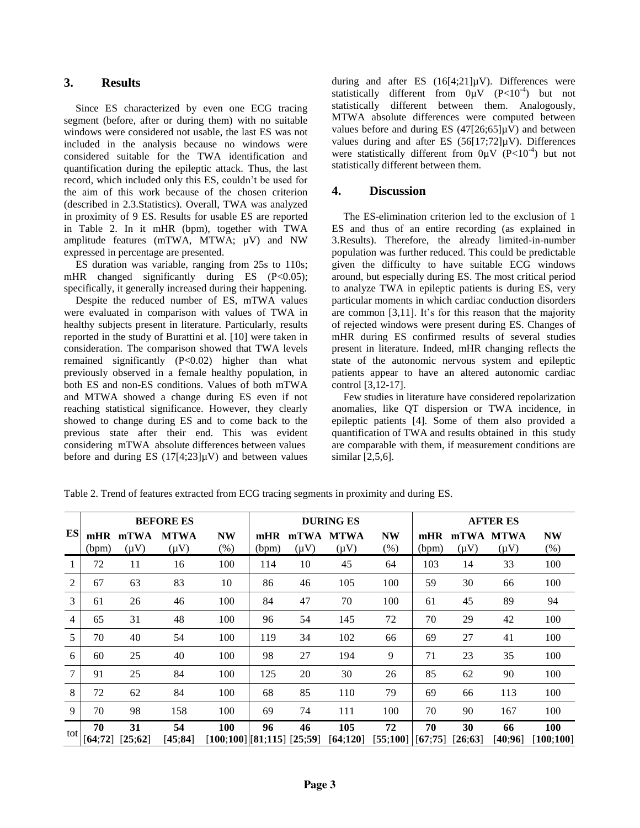### **3. Results**

Since ES characterized by even one ECG tracing segment (before, after or during them) with no suitable windows were considered not usable, the last ES was not included in the analysis because no windows were considered suitable for the TWA identification and quantification during the epileptic attack. Thus, the last record, which included only this ES, couldn't be used for the aim of this work because of the chosen criterion (described in 2.3.Statistics). Overall, TWA was analyzed in proximity of 9 ES. Results for usable ES are reported in Table 2. In it mHR (bpm), together with TWA amplitude features (mTWA, MTWA;  $\mu$ V) and NW expressed in percentage are presented.

ES duration was variable, ranging from 25s to 110s; mHR changed significantly during ES (P<0.05); specifically, it generally increased during their happening.

Despite the reduced number of ES, mTWA values were evaluated in comparison with values of TWA in healthy subjects present in literature. Particularly, results reported in the study of Burattini et al. [10] were taken in consideration. The comparison showed that TWA levels remained significantly (P<0.02) higher than what previously observed in a female healthy population, in both ES and non-ES conditions. Values of both mTWA and MTWA showed a change during ES even if not reaching statistical significance. However, they clearly showed to change during ES and to come back to the previous state after their end. This was evident considering mTWA absolute differences between values before and during ES  $(17[4;23]\mu V)$  and between values during and after ES  $(16[4;21]\mu V)$ . Differences were statistically different from  $0\mu V$  (P<10<sup>-4</sup>) but not statistically different between them. Analogously, MTWA absolute differences were computed between values before and during ES  $(47[26:65]uV)$  and between values during and after ES  $(56[17;72]\mu V)$ . Differences were statistically different from  $0 \mu V (P<10^{-4})$  but not statistically different between them.

### **4. Discussion**

The ES-elimination criterion led to the exclusion of 1 ES and thus of an entire recording (as explained in 3.Results). Therefore, the already limited-in-number population was further reduced. This could be predictable given the difficulty to have suitable ECG windows around, but especially during ES. The most critical period to analyze TWA in epileptic patients is during ES, very particular moments in which cardiac conduction disorders are common [3,11]. It's for this reason that the majority of rejected windows were present during ES. Changes of mHR during ES confirmed results of several studies present in literature. Indeed, mHR changing reflects the state of the autonomic nervous system and epileptic patients appear to have an altered autonomic cardiac control [3,12-17].

Few studies in literature have considered repolarization anomalies, like QT dispersion or TWA incidence, in epileptic patients [4]. Some of them also provided a quantification of TWA and results obtained in this study are comparable with them, if measurement conditions are similar [2,5,6].

|                | <b>BEFORE ES</b> |                   |                          |                                            | <b>DURING ES</b> |                   |                          |                   | <b>AFTER ES</b> |               |                        |                         |
|----------------|------------------|-------------------|--------------------------|--------------------------------------------|------------------|-------------------|--------------------------|-------------------|-----------------|---------------|------------------------|-------------------------|
| ES             | mHR<br>(bpm)     | mTWA<br>$(\mu V)$ | <b>MTWA</b><br>$(\mu V)$ | <b>NW</b><br>(% )                          | mHR<br>(bpm)     | mTWA<br>$(\mu V)$ | <b>MTWA</b><br>$(\mu V)$ | <b>NW</b><br>(% ) | mHR<br>(bpm)    | $(\mu V)$     | mTWA MTWA<br>$(\mu V)$ | <b>NW</b><br>$(\%)$     |
| 1              | 72               | 11                | 16                       | 100                                        | 114              | 10                | 45                       | 64                | 103             | 14            | 33                     | 100                     |
| $\overline{2}$ | 67               | 63                | 83                       | 10                                         | 86               | 46                | 105                      | 100               | 59              | 30            | 66                     | 100                     |
| 3              | 61               | 26                | 46                       | 100                                        | 84               | 47                | 70                       | 100               | 61              | 45            | 89                     | 94                      |
| $\overline{4}$ | 65               | 31                | 48                       | 100                                        | 96               | 54                | 145                      | 72                | 70              | 29            | 42                     | 100                     |
| 5              | 70               | 40                | 54                       | 100                                        | 119              | 34                | 102                      | 66                | 69              | 27            | 41                     | 100                     |
| 6              | 60               | 25                | 40                       | 100                                        | 98               | 27                | 194                      | 9                 | 71              | 23            | 35                     | 100                     |
| 7              | 91               | 25                | 84                       | 100                                        | 125              | 20                | 30                       | 26                | 85              | 62            | 90                     | 100                     |
| 8              | 72               | 62                | 84                       | 100                                        | 68               | 85                | 110                      | 79                | 69              | 66            | 113                    | 100                     |
| 9              | 70               | 98                | 158                      | 100                                        | 69               | 74                | 111                      | 100               | 70              | 90            | 167                    | 100                     |
| tot            | 70<br>[64;72]    | 31<br>[25;62]     | 54<br>[45; 84]           | <b>100</b><br>$[100;100]$ [81;115] [25;59] | 96               | 46                | 105<br>[64;120]          | 72<br>[55;100]    | 70<br>[67;75]   | 30<br>[26:63] | 66<br>[40:96]          | <b>100</b><br>[100;100] |

Table 2. Trend of features extracted from ECG tracing segments in proximity and during ES.